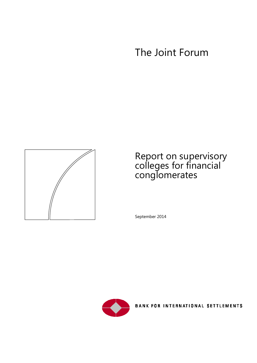# The Joint Forum



# Report on supervisory colleges for financial conglomerates

September 2014



**BANK FOR INTERNATIONAL SETTLEMENTS**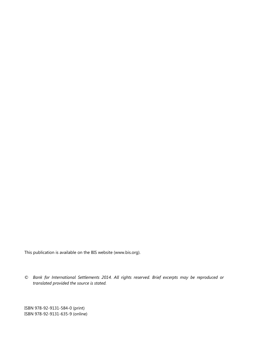This publication is available on the BIS website [\(www.bis.org\)](http://www.bis.org/).

*© Bank for International Settlements 2014. All rights reserved. Brief excerpts may be reproduced or translated provided the source is stated.*

ISBN 978-92-9131-584-0 (print) ISBN 978-92-9131-635-9 (online)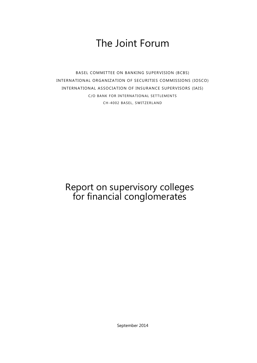# The Joint Forum

BASEL COMMITTEE ON BANKING SUPERVISION (BCBS) INTERNATIONAL ORGANIZATION OF SECURITIES COMMISSIONS (IOSCO) INTERNATIONAL ASSOCIATION OF INSURANCE SUPERVISORS (IAIS) C/O BANK FOR INTERNATIONAL SETTLEMENTS CH-4002 BASEL , SWITZERLAND

# Report on supervisory colleges for financial conglomerates

September 2014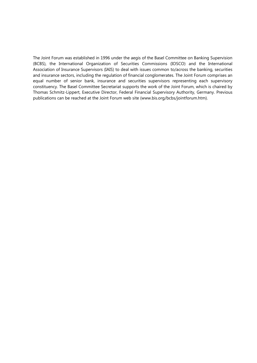The Joint Forum was established in 1996 under the aegis of the Basel Committee on Banking Supervision (BCBS), the International Organization of Securities Commissions (IOSCO) and the International Association of Insurance Supervisors (IAIS) to deal with issues common to/across the banking, securities and insurance sectors, including the regulation of financial conglomerates. The Joint Forum comprises an equal number of senior bank, insurance and securities supervisors representing each supervisory constituency. The Basel Committee Secretariat supports the work of the Joint Forum, which is chaired by Thomas Schmitz-Lippert, Executive Director, Federal Financial Supervisory Authority, Germany. Previous publications can be reached at the Joint Forum web site (www.bis.org/bcbs/jointforum.htm).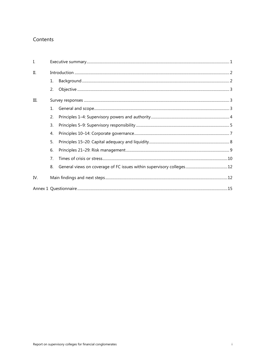## Contents

| I.   |                |  |  |  |  |  |
|------|----------------|--|--|--|--|--|
| Π.   |                |  |  |  |  |  |
|      | 1.             |  |  |  |  |  |
|      | 2.             |  |  |  |  |  |
| III. |                |  |  |  |  |  |
|      |                |  |  |  |  |  |
|      | 2.             |  |  |  |  |  |
|      | $\mathbf{3}$ . |  |  |  |  |  |
|      | 4.             |  |  |  |  |  |
|      | 5.             |  |  |  |  |  |
|      | 6.             |  |  |  |  |  |
|      | 7 <sub>1</sub> |  |  |  |  |  |
|      | 8.             |  |  |  |  |  |
| IV.  |                |  |  |  |  |  |
|      |                |  |  |  |  |  |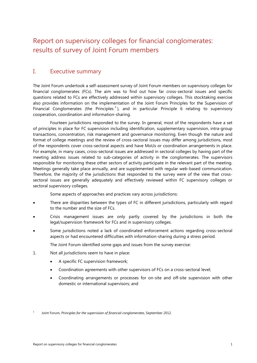## Report on supervisory colleges for financial conglomerates: results of survey of Joint Forum members

## <span id="page-8-0"></span>I. Executive summary

The Joint Forum undertook a self-assessment survey of Joint Forum members on supervisory colleges for financial conglomerates (FCs). The aim was to find out how far cross-sectoral issues and specific questions related to FCs are effectively addressed within supervisory colleges. This stocktaking exercise also provides information on the implementation of the Joint Forum Principles for the Supervision of Financial Conglomerates (the Principles<sup>[1](#page-8-1)</sup>), and in particular Principle 6 relating to supervisory cooperation, coordination and information-sharing.

Fourteen jurisdictions responded to the survey. In general, most of the respondents have a set of principles in place for FC supervision including identification, supplementary supervision, intra-group transactions, concentration, risk management and governance monitoring. Even though the nature and format of college meetings and the review of cross-sectoral issues may differ among jurisdictions, most of the respondents cover cross-sectoral aspects and have MoUs or coordination arrangements in place. For example, in many cases, cross-sectoral issues are addressed in sectoral colleges by having part of the meeting address issues related to sub-categories of activity in the conglomerates. The supervisors responsible for monitoring these other sectors of activity participate in the relevant part of the meeting. Meetings generally take place annually, and are supplemented with regular web-based communication. Therefore, the majority of the jurisdictions that responded to the survey were of the view that crosssectoral issues are generally adequately and effectively reviewed within FC supervisory colleges or sectoral supervisory colleges.

Some aspects of approaches and practices vary across jurisdictions:

- There are disparities between the types of FC in different jurisdictions, particularly with regard to the number and the size of FCs.
- Crisis management issues are only partly covered by the jurisdictions in both the legal/supervision framework for FCs and in supervisory colleges.
- Some jurisdictions noted a lack of coordinated enforcement actions regarding cross-sectoral aspects or had encountered difficulties with information-sharing during a stress period.

The Joint Forum identified some gaps and issues from the survey exercise:

- 1. Not all jurisdictions seem to have in place:
	- A specific FC supervision framework;
	- Coordination agreements with other supervisors of FCs on a cross-sectoral level;
	- Coordinating arrangements or processes for on-site and off-site supervision with other domestic or international supervisors; and

<span id="page-8-1"></span><sup>1</sup> Joint Forum, *Principles for the supervision of financial conglomerates*, September 2012.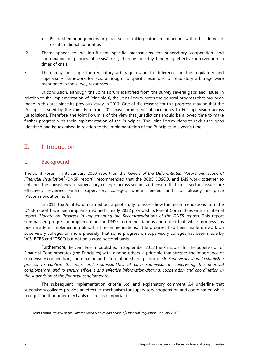- Established arrangements or processes for taking enforcement actions with other domestic or international authorities.
- 2. There appear to be insufficient specific mechanisms for supervisory cooperation and coordination in periods of crisis/stress, thereby possibly hindering effective intervention in times of crisis.
- 3. There may be scope for regulatory arbitrage owing to differences in the regulatory and supervisory framework for FCs, although no specific examples of regulatory arbitrage were mentioned in the survey responses.

In conclusion, although the Joint Forum identified from the survey several gaps and issues in relation to the implementation of Principle 6, the Joint Forum notes the general progress that has been made in this area since its previous study in 2011. One of the reasons for this progress may be that the Principles issued by the Joint Forum in 2012 have promoted enhancements to FC supervision across jurisdictions. Therefore, the Joint Forum is of the view that jurisdictions should be allowed time to make further progress with their implementation of the Principles. The Joint Forum plans to revisit the gaps identified and issues raised in relation to the implementation of the Principles in a year's time.

## <span id="page-9-0"></span>II. Introduction

## <span id="page-9-1"></span>1. Background

The Joint Forum, in its January 2010 report on the *Review of the Differentiated Nature and Scope of Financial Regulation<sup>[2](#page-9-2)</sup>* (DNSR report), recommended that the BCBS, IOSCO, and IAIS work together to enhance the consistency of supervisory colleges across sectors and ensure that cross-sectoral issues are effectively reviewed within supervisory colleges, where needed and not already in place (Recommendation no 6).

In 2011, the Joint Forum carried out a pilot study to assess how the recommendations from the DNSR report have been implemented and in early 2012 provided its Parent Committees with an internal report (*Update on Progress in Implementing the Recommendations of the DNSR report*). This report summarised progress in implementing the DNSR recommendations and noted that, while progress has been made in implementing almost all recommendations, little progress had been made on work on supervisory colleges or, more precisely, that some progress on supervisory colleges has been made by IAIS, BCBS and IOSCO but not on a cross-sectoral basis.

Furthermore, the Joint Forum published in September 2012 the Principles for the Supervision of Financial Conglomerates (the Principles) with, among others, a principle that stresses the importance of supervisory cooperation, coordination and information-sharing: Principle 6: *Supervisors should establish a process to confirm the roles and responsibilities of each supervisor in supervising the financial conglomerate, and to ensure efficient and effective information-sharing, cooperation and coordination in the supervision of the financial conglomerate.* 

The subsequent implementation criteria 6(c) and explanatory comment 6.4 underline that supervisory colleges provide an effective mechanism for supervisory cooperation and coordination while recognising that other mechanisms are also important.

<span id="page-9-2"></span><sup>2</sup> Joint Forum, *Review of the Differentiated Nature and Scope of Financial Regulation*, January 2010.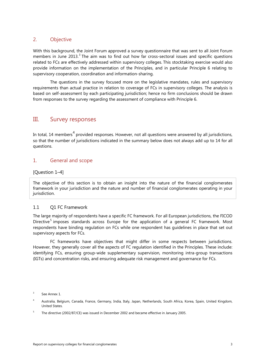## <span id="page-10-0"></span>2. Objective

With this background, the Joint Forum approved a survey questionnaire that was sent to all Joint Forum members in June 201[3](#page-10-3).<sup>3</sup> The aim was to find out how far cross-sectoral issues and specific questions related to FCs are effectively addressed within supervisory colleges. This stocktaking exercise would also provide information on the implementation of the Principles, and in particular Principle 6 relating to supervisory cooperation, coordination and information-sharing.

The questions in the survey focused more on the legislative mandates, rules and supervisory requirements than actual practice in relation to coverage of FCs in supervisory colleges. The analysis is based on self-assessment by each participating jurisdiction; hence no firm conclusions should be drawn from responses to the survey regarding the assessment of compliance with Principle 6.

## <span id="page-10-1"></span>III. Survey responses

In total, 1[4](#page-10-4) members<sup>4</sup> provided responses. However, not all questions were answered by all jurisdictions, so that the number of jurisdictions indicated in the summary below does not always add up to 14 for all questions.

## <span id="page-10-2"></span>1. General and scope

## [Question 1–4]

The objective of this section is to obtain an insight into the nature of the financial conglomerates framework in your jurisdiction and the nature and number of financial conglomerates operating in your jurisdiction.

## 1.1 Q1 FC Framework

The large majority of respondents have a specific FC framework. For all European jurisdictions, the FICOD Directive<sup>[5](#page-10-5)</sup> imposes standards across Europe for the application of a general FC framework. Most respondents have binding regulation on FCs while one respondent has guidelines in place that set out supervisory aspects for FCs.

FC frameworks have objectives that might differ in some respects between jurisdictions. However, they generally cover all the aspects of FC regulation identified in the Principles. These include: identifying FCs, ensuring group-wide supplementary supervision, monitoring intra-group transactions (IGTs) and concentration risks, and ensuring adequate risk management and governance for FCs.

<span id="page-10-3"></span><sup>&</sup>lt;sup>3</sup> See Annex 1.

<span id="page-10-4"></span><sup>4</sup> Australia, Belgium, Canada, France, Germany, India, Italy, Japan, Netherlands, South Africa, Korea, Spain, United Kingdom, United States.

<span id="page-10-5"></span><sup>&</sup>lt;sup>5</sup> The directive (2002/87/CE) was issued in December 2002 and became effective in January 2005.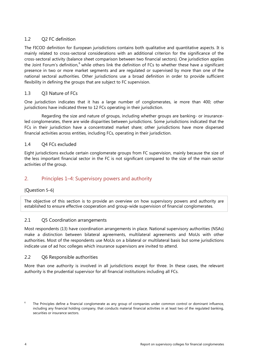## 1.2 Q2 FC definition

The FICOD definition for European jurisdictions contains both qualitative and quantitative aspects. It is mainly related to cross-sectoral considerations with an additional criterion for the significance of the cross-sectoral activity (balance sheet comparison between two financial sectors). One jurisdiction applies the Joint Forum's definition,<sup>[6](#page-11-1)</sup> while others link the definition of FCs to whether these have a significant presence in two or more market segments and are regulated or supervised by more than one of the national sectoral authorities. Other jurisdictions use a broad definition in order to provide sufficient flexibility in defining the groups that are subject to FC supervision.

## 1.3 Q3 Nature of FCs

One jurisdiction indicates that it has a large number of conglomerates, ie more than 400; other jurisdictions have indicated three to 12 FCs operating in their jurisdiction.

Regarding the size and nature of groups, including whether groups are banking- or insuranceled conglomerates, there are wide disparities between jurisdictions. Some jurisdictions indicated that the FCs in their jurisdiction have a concentrated market share; other jurisdictions have more dispersed financial activities across entities, including FCs, operating in their jurisdiction.

## 1.4 Q4 FCs excluded

Eight jurisdictions exclude certain conglomerate groups from FC supervision, mainly because the size of the less important financial sector in the FC is not significant compared to the size of the main sector activities of the group.

## <span id="page-11-0"></span>2. Principles 1–4: Supervisory powers and authority

## [Question 5–6]

The objective of this section is to provide an overview on how supervisory powers and authority are established to ensure effective cooperation and group-wide supervision of financial conglomerates.

## 2.1 O5 Coordination arrangements

Most respondents (13) have coordination arrangements in place. National supervisory authorities (NSAs) make a distinction between bilateral agreements, multilateral agreements and MoUs with other authorities. Most of the respondents use MoUs on a bilateral or multilateral basis but some jurisdictions indicate use of ad hoc colleges which insurance supervisors are invited to attend.

## 2.2 Q6 Responsible authorities

More than one authority is involved in all jurisdictions except for three. In these cases, the relevant authority is the prudential supervisor for all financial institutions including all FCs.

<span id="page-11-1"></span>The Principles define a financial conglomerate as any group of companies under common control or dominant influence, including any financial holding company, that conducts material financial activities in at least two of the regulated banking, securities or insurance sectors.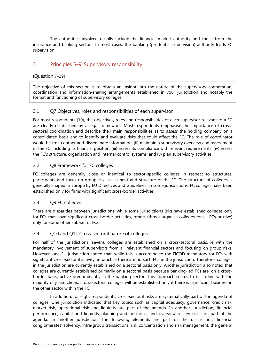The authorities involved usually include the financial market authority and those from the insurance and banking sectors. In most cases, the banking (prudential supervision) authority leads FC supervision.

## <span id="page-12-0"></span>3. Principles 5–9: Supervisory responsibility

## [Question 7–19]

The objective of this section is to obtain an insight into the nature of the supervisory cooperation, coordination and information-sharing arrangements established in your jurisdiction and notably the format and functioning of supervisory colleges.

## 3.1 Q7 Objectives, roles and responsibilities of each supervisor

For most respondents (10), the objectives, roles and responsibilities of each supervisor relevant to a FC are clearly established by a legal framework. Most respondents emphasise the importance of crosssectoral coordination and describe their main responsibilities as to assess the holding company on a consolidated basis and to identify and evaluate risks that could affect the FC. The role of coordinator would be to: (i) gather and disseminate information; (ii) maintain a supervisory overview and assessment of the FC, including its financial position; (iii) assess its compliance with relevant requirements; (iv) assess the FC's structure, organisation and internal control systems; and (v) plan supervisory activities.

## 3.2 Q8 Framework for FC colleges

FC colleges are generally close or identical to sector-specific colleges in respect to structures, participants and focus on group risk assessment and structure of the FC. The structure of colleges is generally shaped in Europe by EU Directives and Guidelines. In some jurisdictions, FC colleges have been established only for firms with significant cross-border activities.

## 3.3 Q9 FC colleges

There are disparities between jurisdictions: while some jurisdictions (six) have established colleges only for FCs that have significant cross-border activities, others (three) organise colleges for all FCs or (five) only for some other sub-set of FCs.

## 3.4 Q10 and Q11 Cross-sectoral nature of colleges

For half of the jurisdictions (seven), colleges are established on a cross-sectoral basis, ie with the mandatory involvement of supervisors from all relevant financial sectors and focusing on group risks. However, one EU jurisdiction stated that, while this is according to the FICOD mandatory for FCs with significant cross-sectoral activity, in practice there are no such FCs in the jurisdiction. Therefore, colleges in the jurisdiction are currently established on a sectoral basis only. Another jurisdiction also noted that colleges are currently established primarily on a sectoral basis because banking-led FCs are, on a crossborder basis, active predominantly in the banking sector. This approach seems to be in line with the majority of jurisdictions: cross-sectoral colleges will be established only if there is significant business in the other sector within the FC.

In addition, for eight respondents, cross-sectoral risks are systematically part of the agenda of colleges. One jurisdiction indicated that key topics such as capital adequacy, governance, credit risk, market risk, operational risk and liquidity are part of the agenda. In another jurisdiction, financial performance, capital and liquidity planning and positions, and overview of key risks are part of the agenda. In another jurisdiction, the following elements are part of the discussions: financial conglomerates' solvency, intra-group transactions, risk concentration and risk management, the general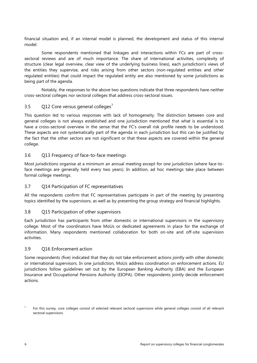financial situation and, if an internal model is planned, the development and status of this internal model.

Some respondents mentioned that linkages and interactions within FCs are part of crosssectoral reviews and are of much importance. The share of international activities, complexity of structure (clear legal overview, clear view of the underlying business lines), each jurisdiction's views of the entities they supervise, and risks arising from other sectors (non-regulated entities and other regulated entities) that could impact the regulated entity are also mentioned by some jurisdictions as being part of the agenda.

Notably, the responses to the above two questions indicate that three respondents have neither cross-sectoral colleges nor sectoral colleges that address cross-sectoral issues.

## 3.5  $Q12$  Core versus general colleges<sup>[7](#page-13-0)</sup>

This question led to various responses with lack of homogeneity. The distinction between core and general colleges is not always established and one jurisdiction mentioned that what is essential is to have a cross-sectoral overview in the sense that the FC's overall risk profile needs to be understood. These aspects are not systematically part of the agenda in each jurisdiction but this can be justified by the fact that the other sectors are not significant or that these aspects are covered within the general college.

## 3.6 Q13 Frequency of face-to-face meetings

Most jurisdictions organise at a minimum an annual meeting except for one jurisdiction (where face-toface meetings are generally held every two years). In addition, ad hoc meetings take place between formal college meetings.

## 3.7 Q14 Participation of FC representatives

All the respondents confirm that FC representatives participate in part of the meeting by presenting topics identified by the supervisors, as well as by presenting the group strategy and financial highlights.

## 3.8 Q15 Participation of other supervisors

Each jurisdiction has participants from other domestic or international supervisors in the supervisory college. Most of the coordinators have MoUs or dedicated agreements in place for the exchange of information. Many respondents mentioned collaboration for both on-site and off-site supervision activities.

## 3.9 Q16 Enforcement action

Some respondents (five) indicated that they do not take enforcement actions jointly with other domestic or international supervisors. In one jurisdiction, MoUs address coordination on enforcement actions. EU jurisdictions follow guidelines set out by the European Banking Authority (EBA) and the European Insurance and Occupational Pensions Authority (EIOPA). Other respondents jointly decide enforcement actions.

<span id="page-13-0"></span><sup>7</sup> For this survey, core colleges consist of selected relevant sectoral supervisors while general colleges consist of all relevant sectoral supervisors.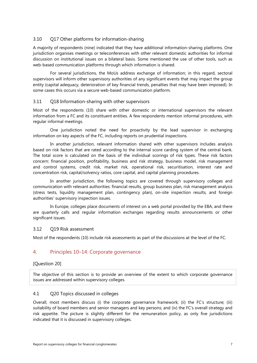## 3.10 Q17 Other platforms for information-sharing

A majority of respondents (nine) indicated that they have additional information-sharing platforms. One jurisdiction organises meetings or teleconferences with other relevant domestic authorities for informal discussion on institutional issues on a bilateral basis. Some mentioned the use of other tools, such as web-based communication platforms through which information is shared.

For several jurisdictions, the MoUs address exchange of information; in this regard, sectoral supervisors will inform other supervisory authorities of any significant events that may impact the group entity (capital adequacy, deterioration of key financial trends, penalties that may have been imposed). In some cases this occurs via a secure web-based communication platform.

## 3.11 Q18 Information-sharing with other supervisors

Most of the respondents (10) share with other domestic or international supervisors the relevant information from a FC and its constituent entities. A few respondents mention informal procedures, with regular informal meetings.

One jurisdiction noted the need for proactivity by the lead supervisor in exchanging information on key aspects of the FC, including reports on prudential inspections.

In another jurisdiction, relevant information shared with other supervisors includes analysis based on risk factors that are rated according to the internal score carding system of the central bank. The total score is calculated on the basis of the individual scorings of risk types. These risk factors concern: financial position, profitability, business and risk strategy, business model, risk management and control systems, credit risk, market risk, operational risk, securitisation, interest rate and concentration risk, capital/solvency ratios, core capital, and capital planning procedures.

In another jurisdiction, the following topics are covered through supervisory colleges and communication with relevant authorities: financial results, group business plan, risk management analysis (stress tests, liquidity management plan, contingency plan), on-site inspection results, and foreign authorities' supervisory inspection issues.

In Europe, colleges place documents of interest on a web portal provided by the EBA, and there are quarterly calls and regular information exchanges regarding results announcements or other significant issues.

## 3.12 Q19 Risk assessment

Most of the respondents (10) include risk assessments as part of the discussions at the level of the FC.

## <span id="page-14-0"></span>4. Principles 10–14: Corporate governance

## [Question 20]

The objective of this section is to provide an overview of the extent to which corporate governance issues are addressed within supervisory colleges.

## 4.1 Q20 Topics discussed in colleges

Overall, most members discuss (i) the corporate governance framework; (ii) the FC's structure; (iii) suitability of board members and senior managers and key persons; and (iv) the FC's overall strategy and risk appetite. The picture is slightly different for the remuneration policy, as only five jurisdictions indicated that it is discussed in supervisory colleges.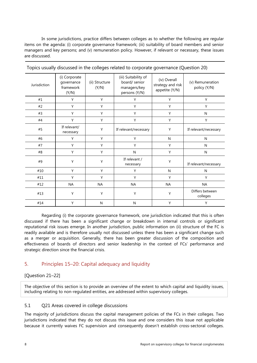In some jurisdictions, practice differs between colleges as to whether the following are regular items on the agenda: (i) corporate governance framework; (iii) suitability of board members and senior managers and key persons; and (v) remuneration policy. However, if relevant or necessary, these issues are discussed.

| Jurisdiction | (i) Corporate<br>governance<br>framework<br>(Y/N) | (ii) Structure<br>(Y/N) | (iii) Suitability of<br>board/ senior<br>managers/key<br>persons (Y/N) | (iv) Overall<br>strategy and risk<br>appetite (Y/N) | (v) Remuneration<br>policy (Y/N) |
|--------------|---------------------------------------------------|-------------------------|------------------------------------------------------------------------|-----------------------------------------------------|----------------------------------|
| #1           | Y                                                 | Y                       | Y                                                                      | Y                                                   | Y                                |
| #2           | Y                                                 | Y                       | Y                                                                      | Y                                                   | Y                                |
| #3           | Y                                                 | Y                       | Y                                                                      | Y                                                   | N                                |
| #4           | Y                                                 | Y                       | Y                                                                      | Y                                                   | Y                                |
| #5           | If relevant/<br>necessary                         | Y                       | If relevant/necessary                                                  | Y                                                   | If relevant/necessary            |
| #6           | Υ                                                 | Y                       | Y                                                                      | N                                                   | N                                |
| #7           | Y                                                 | Y                       | Y                                                                      | Y                                                   | N                                |
| #8           | Υ                                                 | Y                       | N                                                                      | Y                                                   | N                                |
| #9           | Υ                                                 | Y                       | If relevant /<br>necessary                                             | Υ                                                   | If relevant/necessary            |
| #10          | Y                                                 | Y                       | Y                                                                      | N                                                   | N                                |
| #11          | Υ                                                 | Y                       | Y                                                                      | Y                                                   | Y                                |
| #12          | <b>NA</b>                                         | <b>NA</b>               | <b>NA</b>                                                              | <b>NA</b>                                           | <b>NA</b>                        |
| #13          | Υ                                                 | Y                       | Υ                                                                      | Υ                                                   | Differs between<br>colleges      |
| #14          | Υ                                                 | N                       | N                                                                      | Y                                                   | Y                                |

Topics usually discussed in the colleges related to corporate governance (Question 20)

Regarding (i) the corporate governance framework, one jurisdiction indicated that this is often discussed if there has been a significant change or breakdown in internal controls or significant reputational risk issues emerge. In another jurisdiction, public information on (ii) structure of the FC is readily available and is therefore usually not discussed unless there has been a significant change such as a merger or acquisition. Generally, there has been greater discussion of the composition and effectiveness of boards of directors and senior leadership in the context of FCs' performance and strategic direction since the financial crisis.

## <span id="page-15-0"></span>5. Principles 15–20: Capital adequacy and liquidity

## [Question 21–22]

The objective of this section is to provide an overview of the extent to which capital and liquidity issues, including relating to non-regulated entities, are addressed within supervisory colleges.

## 5.1 Q21 Areas covered in college discussions

The majority of jurisdictions discuss the capital management policies of the FCs in their colleges. Two jurisdictions indicated that they do not discuss this issue and one considers this issue not applicable because it currently waives FC supervision and consequently doesn't establish cross-sectoral colleges.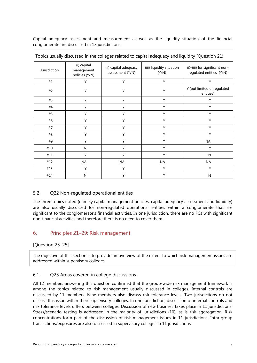Capital adequacy assessment and measurement as well as the liquidity situation of the financial conglomerate are discussed in 13 jurisdictions.

| Jurisdiction | (i) capital<br>management<br>policies (Y/N) | (ii) capital adequacy<br>assessment (Y/N) | (iii) liquidity situation<br>(Y/N) | (i)-(iii) for significant non-<br>regulated entities (Y/N) |
|--------------|---------------------------------------------|-------------------------------------------|------------------------------------|------------------------------------------------------------|
| #1           | Y                                           | Y                                         | Y                                  | Y                                                          |
| #2           | Y                                           | Y                                         | Υ                                  | Y (but limited unregulated<br>entities)                    |
| #3           | Y                                           | Y                                         | Y                                  | Υ                                                          |
| #4           | Y                                           | Y                                         | Υ                                  | Υ                                                          |
| #5           | Y                                           | Y                                         | Υ                                  | Y                                                          |
| #6           | Y                                           | Y                                         | Υ                                  | Υ                                                          |
| #7           | Y                                           | Y                                         | Y                                  | Y                                                          |
| #8           | Υ                                           | Υ                                         | Υ                                  | γ                                                          |
| #9           | Υ                                           | Y                                         | Υ                                  | NA                                                         |
| #10          | N                                           | Y                                         | Υ                                  | Y                                                          |
| #11          | Y                                           | Y                                         | Υ                                  | N                                                          |
| #12          | <b>NA</b>                                   | <b>NA</b>                                 | <b>NA</b>                          | <b>NA</b>                                                  |
| #13          | Y                                           | Υ                                         | Υ                                  | Y                                                          |
| #14          | N                                           | Υ                                         | Y                                  | N                                                          |

| Topics usually discussed in the colleges related to capital adequacy and liquidity (Question 21) |  |  |  |
|--------------------------------------------------------------------------------------------------|--|--|--|
|                                                                                                  |  |  |  |

## 5.2 Q22 Non-regulated operational entities

The three topics noted (namely capital management policies, capital adequacy assessment and liquidity) are also usually discussed for non-regulated operational entities within a conglomerate that are significant to the conglomerate's financial activities. In one jurisdiction, there are no FCs with significant non-financial activities and therefore there is no need to cover them.

## <span id="page-16-0"></span>6. Principles 21–29: Risk management

## [Question 23–25]

The objective of this section is to provide an overview of the extent to which risk management issues are addressed within supervisory colleges

## 6.1 Q23 Areas covered in college discussions

All 12 members answering this question confirmed that the group-wide risk management framework is among the topics related to risk management usually discussed in colleges. Internal controls are discussed by 11 members. Nine members also discuss risk tolerance levels. Two jurisdictions do not discuss this issue within their supervisory colleges. In one jurisdiction, discussion of internal controls and risk tolerance levels differs between colleges. Discussion of new business takes place in 11 jurisdictions. Stress/scenario testing is addressed in the majority of jurisdictions (10), as is risk aggregation. Risk concentrations form part of the discussion of risk management issues in 11 jurisdictions. Intra-group transactions/exposures are also discussed in supervisory colleges in 11 jurisdictions.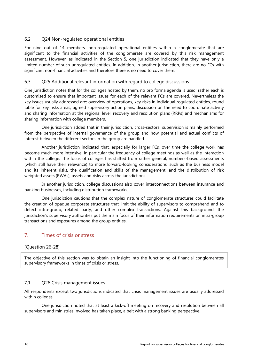## 6.2 Q24 Non-regulated operational entities

For nine out of 14 members, non-regulated operational entities within a conglomerate that are significant to the financial activities of the conglomerate are covered by this risk management assessment. However, as indicated in the Section 5, one jurisdiction indicated that they have only a limited number of such unregulated entities. In addition, in another jurisdiction, there are no FCs with significant non-financial activities and therefore there is no need to cover them.

## 6.3 Q25 Additional relevant information with regard to college discussions

One jurisdiction notes that for the colleges hosted by them, no pro forma agenda is used; rather each is customised to ensure that important issues for each of the relevant FCs are covered. Nevertheless the key issues usually addressed are: overview of operations, key risks in individual regulated entities, round table for key risks areas, agreed supervisory action plans, discussion on the need to coordinate activity and sharing information at the regional level, recovery and resolution plans (RRPs) and mechanisms for sharing information with college members.

One jurisdiction added that in their jurisdiction, cross-sectoral supervision is mainly performed from the perspective of internal governance of the group and how potential and actual conflicts of interest between the different sectors in the group are handled.

Another jurisdiction indicated that, especially for larger FCs, over time the college work has become much more intensive, in particular the frequency of college meetings as well as the interaction within the college. The focus of colleges has shifted from rather general, numbers-based assessments (which still have their relevance) to more forward-looking considerations, such as the business model and its inherent risks, the qualification and skills of the management, and the distribution of risk weighted assets (RWAs), assets and risks across the jurisdictions.

In another jurisdiction, college discussions also cover interconnections between insurance and banking businesses, including distribution frameworks.

One jurisdiction cautions that the complex nature of conglomerate structures could facilitate the creation of opaque corporate structures that limit the ability of supervisors to comprehend and to detect intra-group, related party, and other complex transactions. Against this background, the jurisdiction's supervisory authorities put the main focus of their information requirements on intra-group transactions and exposures among the group entities.

## <span id="page-17-0"></span>7. Times of crisis or stress

## [Question 26-28]

The objective of this section was to obtain an insight into the functioning of financial conglomerates supervisory frameworks in times of crisis or stress.

## 7.1 Q26 Crisis management issues

All respondents except two jurisdictions indicated that crisis management issues are usually addressed within colleges.

One jurisdiction noted that at least a kick-off meeting on recovery and resolution between all supervisors and ministries involved has taken place, albeit with a strong banking perspective.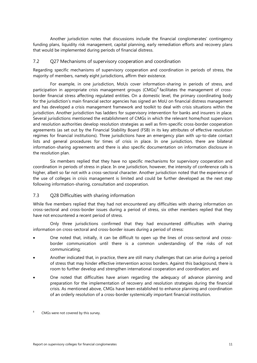Another jurisdiction notes that discussions include the financial conglomerates' contingency funding plans, liquidity risk management, capital planning, early remediation efforts and recovery plans that would be implemented during periods of financial distress.

#### 7.2 Q27 Mechanisms of supervisory cooperation and coordination

Regarding specific mechanisms of supervisory cooperation and coordination in periods of stress, the majority of members, namely eight jurisdictions, affirm their existence.

For example, in one jurisdiction, MoUs cover information-sharing in periods of stress, and participation in appropriate crisis management groups (CMGs)<sup>[8](#page-18-0)</sup> facilitates the management of crossborder financial stress affecting regulated entities. On a domestic level, the primary coordinating body for the jurisdiction's main financial sector agencies has signed an MoU on financial distress management and has developed a crisis management framework and toolkit to deal with crisis situations within the jurisdiction. Another jurisdiction has ladders for supervisory intervention for banks and insurers in place. Several jurisdictions mentioned the establishment of CMGs in which the relevant home/host supervisors and resolution authorities develop resolution strategies as well as firm-specific cross-border cooperation agreements (as set out by the Financial Stability Board (FSB) in its key attributes of effective resolution regimes for financial institutions). Three jurisdictions have an emergency plan with up-to-date contact lists and general procedures for times of crisis in place. In one jurisdiction, there are bilateral information-sharing agreements and there is also specific documentation on information disclosure in the resolution plan.

Six members replied that they have no specific mechanisms for supervisory cooperation and coordination in periods of stress in place. In one jurisdiction, however, the intensity of conference calls is higher, albeit so far not with a cross-sectoral character. Another jurisdiction noted that the experience of the use of colleges in crisis management is limited and could be further developed as the next step following information-sharing, consultation and cooperation.

## 7.3 Q28 Difficulties with sharing information

While five members replied that they had not encountered any difficulties with sharing information on cross-sectoral and cross-border issues during a period of stress, six other members replied that they have not encountered a recent period of stress.

Only three jurisdictions confirmed that they had encountered difficulties with sharing information on cross-sectoral and cross-border issues during a period of stress:

- One noted that, initially, it can be difficult to open up the lines of cross-sectoral and crossborder communication until there is a common understanding of the risks of not communicating;
- Another indicated that, in practice, there are still many challenges that can arise during a period of stress that may hinder effective intervention across borders. Against this background, there is room to further develop and strengthen international cooperation and coordination; and
- One noted that difficulties have arisen regarding the adequacy of advance planning and preparation for the implementation of recovery and resolution strategies during the financial crisis. As mentioned above, CMGs have been established to enhance planning and coordination of an orderly resolution of a cross-border systemically important financial institution.

<span id="page-18-0"></span>CMGs were not covered by this survey.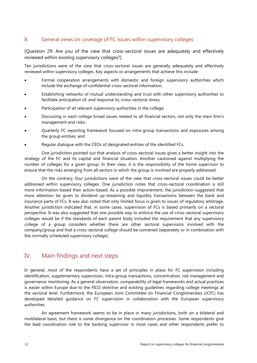## <span id="page-19-0"></span>8. General views on coverage of FC issues within supervisory colleges

[Question 29: Are you of the view that cross-sectoral issues are adequately and effectively reviewed within existing supervisory colleges?]

Ten jurisdictions were of the view that cross-sectoral issues are generally adequately and effectively reviewed within supervisory colleges. Key aspects or arrangements that achieve this include:

- Formal cooperation arrangements with domestic and foreign supervisory authorities which include the exchange of confidential cross-sectoral information;
- Establishing networks of mutual understanding and trust with other supervisory authorities to facilitate anticipation of, and response to, cross-sectoral stress;
- Participation of all relevant supervisory authorities in the college;
- Discussing in each college broad issues related to all financial sectors, not only the main firm's management and risks;
- Quarterly FC reporting framework focused on intra-group transactions and exposures among the group entities; and
- Regular dialogue with the CEOs of designated entities of the identified FCs.

One jurisdiction pointed out that analysis of cross-sectoral issues gives a better insight into the strategy of the FC and its capital and financial situation. Another cautioned against multiplying the number of colleges for a given group. In their view, it is the responsibility of the home supervisor to ensure that the risks emerging from all sectors in which the group is involved are properly addressed.

On the contrary, four jurisdictions were of the view that cross-sectoral issues could be better addressed within supervisory colleges. One jurisdiction notes that cross-sectoral coordination is still more information-based than action-based. As a possible improvement, the jurisdiction suggested that more attention be given to dividend up-streaming and liquidity transactions between the bank and insurance parts of FCs. It was also noted that only limited focus is given to issues of regulatory arbitrage. Another jurisdiction indicated that, in some cases, supervision of FCs is based primarily on a sectoral perspective. It was also suggested that one possible way to enforce the use of cross-sectoral supervisory colleges would be if the standards of each parent body included the requirement that any supervisory college of a group considers whether there are other sectoral supervisors involved with the company/group and that a cross-sectoral college should be convened (separately or in combination with the normally scheduled supervisory college).

## <span id="page-19-1"></span>IV. Main findings and next steps

In general, most of the respondents have a set of principles in place for FC supervision including identification, supplementary supervision, intra-group transactions, concentration, risk management and governance monitoring. As a general observation, comparability of legal frameworks and actual practices is easier within Europe due to the FICO directive and existing guidelines regarding college meetings at the sectoral level. Furthermore, the European Joint Committee on Financial Conglomerates (JCFC) has developed detailed guidance on FC supervision in collaboration with the European supervisory authorities.

An agreement framework seems to be in place in many jurisdictions, both on a bilateral and multilateral basis, but there is some divergence on the coordination processes. Some respondents give the lead coordination role to the banking supervisor in most cases and other respondents prefer to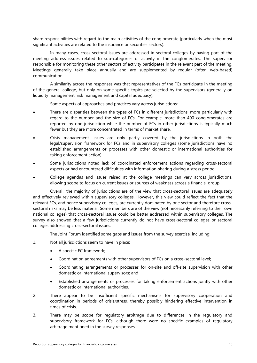share responsibilities with regard to the main activities of the conglomerate (particularly when the most significant activities are related to the insurance or securities sectors).

In many cases, cross-sectoral issues are addressed in sectoral colleges by having part of the meeting address issues related to sub-categories of activity in the conglomerates. The supervisor responsible for monitoring these other sectors of activity participates in the relevant part of the meeting. Meetings generally take place annually and are supplemented by regular (often web-based) communication.

A similarity across the responses was that representatives of the FCs participate in the meeting of the general college, but only on some specific topics pre-selected by the supervisors (generally on liquidity management, risk management and capital adequacy).

Some aspects of approaches and practices vary across jurisdictions:

- There are disparities between the types of FCs in different jurisdictions, more particularly with regard to the number and the size of FCs. For example, more than 400 conglomerates are reported by one jurisdiction while the number of FCs in other jurisdictions is typically much fewer but they are more concentrated in terms of market share.
- Crisis management issues are only partly covered by the jurisdictions in both the legal/supervision framework for FCs and in supervisory colleges (some jurisdictions have no established arrangements or processes with other domestic or international authorities for taking enforcement action).
- Some jurisdictions noted lack of coordinated enforcement actions regarding cross-sectoral aspects or had encountered difficulties with information-sharing during a stress period.
- College agendas and issues raised at the college meetings can vary across jurisdictions, allowing scope to focus on current issues or sources of weakness across a financial group.

Overall, the majority of jurisdictions are of the view that cross-sectoral issues are adequately and effectively reviewed within supervisory colleges. However, this view could reflect the fact that the relevant FCs, and hence supervisory colleges, are currently dominated by one sector and therefore crosssectoral risks may be less material. Some members are of the view (not necessarily referring to their own national colleges) that cross-sectoral issues could be better addressed within supervisory colleges. The survey also showed that a few jurisdictions currently do not have cross-sectoral colleges or sectoral colleges addressing cross-sectoral issues.

The Joint Forum identified some gaps and issues from the survey exercise, including:

- 1. Not all jurisdictions seem to have in place:
	- A specific FC framework;
	- Coordination agreements with other supervisors of FCs on a cross-sectoral level;
	- Coordinating arrangements or processes for on-site and off-site supervision with other domestic or international supervisors; and
	- Established arrangements or processes for taking enforcement actions jointly with other domestic or international authorities.
- 2. There appear to be insufficient specific mechanisms for supervisory cooperation and coordination in periods of crisis/stress, thereby possibly hindering effective intervention in times of crisis.
- 3. There may be scope for regulatory arbitrage due to differences in the regulatory and supervisory framework for FCs, although there were no specific examples of regulatory arbitrage mentioned in the survey responses.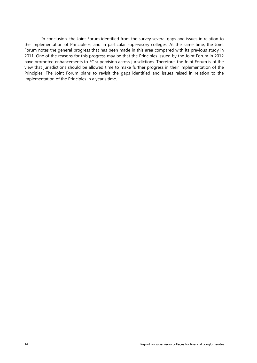In conclusion, the Joint Forum identified from the survey several gaps and issues in relation to the implementation of Principle 6, and in particular supervisory colleges. At the same time, the Joint Forum notes the general progress that has been made in this area compared with its previous study in 2011. One of the reasons for this progress may be that the Principles issued by the Joint Forum in 2012 have promoted enhancements to FC supervision across jurisdictions. Therefore, the Joint Forum is of the view that jurisdictions should be allowed time to make further progress in their implementation of the Principles. The Joint Forum plans to revisit the gaps identified and issues raised in relation to the implementation of the Principles in a year's time.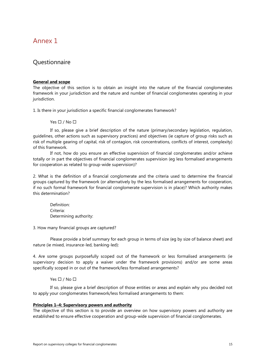## <span id="page-22-0"></span>Annex 1

## **Questionnaire**

#### **General and scope**

The objective of this section is to obtain an insight into the nature of the financial conglomerates framework in your jurisdiction and the nature and number of financial conglomerates operating in your jurisdiction.

1. Is there in your jurisdiction a specific financial conglomerates framework?

Yes  $\Box$  / No  $\Box$ 

If so, please give a brief description of the nature (primary/secondary legislation, regulation, guidelines, other actions such as supervisory practices) and objectives (ie capture of group risks such as risk of multiple gearing of capital, risk of contagion, risk concentrations, conflicts of interest, complexity) of this framework.

If not, how do you ensure an effective supervision of financial conglomerates and/or achieve totally or in part the objectives of financial conglomerates supervision (eg less formalised arrangements for cooperation as related to group-wide supervision)?

2. What is the definition of a financial conglomerate and the criteria used to determine the financial groups captured by the framework (or alternatively by the less formalised arrangements for cooperation, if no such formal framework for financial conglomerate supervision is in place)? Which authority makes this determination?

Definition: Criteria: Determining authority:

3. How many financial groups are captured?

Please provide a brief summary for each group in terms of size (eg by size of balance sheet) and nature (ie mixed, insurance-led, banking-led):

4. Are some groups purposefully scoped out of the framework or less formalised arrangements (ie supervisory decision to apply a waiver under the framework provisions) and/or are some areas specifically scoped in or out of the framework/less formalised arrangements?

#### Yes  $\Box$  / No  $\Box$

If so, please give a brief description of those entities or areas and explain why you decided not to apply your conglomerates framework/less formalised arrangements to them:

#### **Principles 1–4: Supervisory powers and authority**

The objective of this section is to provide an overview on how supervisory powers and authority are established to ensure effective cooperation and group-wide supervision of financial conglomerates.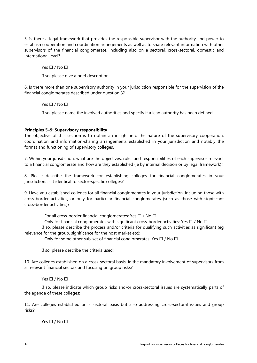5. Is there a legal framework that provides the responsible supervisor with the authority and power to establish cooperation and coordination arrangements as well as to share relevant information with other supervisors of the financial conglomerate, including also on a sectoral, cross-sectoral, domestic and international level?

Yes  $\Box$  / No  $\Box$ 

If so, please give a brief description:

6. Is there more than one supervisory authority in your jurisdiction responsible for the supervision of the financial conglomerates described under question 3?

Yes  $\Box$  / No  $\Box$ 

If so, please name the involved authorities and specify if a lead authority has been defined.

#### **Principles 5–9: Supervisory responsibility**

The objective of this section is to obtain an insight into the nature of the supervisory cooperation, coordination and information-sharing arrangements established in your jurisdiction and notably the format and functioning of supervisory colleges.

7. Within your jurisdiction, what are the objectives, roles and responsibilities of each supervisor relevant to a financial conglomerate and how are they established (ie by internal decision or by legal framework)?

8. Please describe the framework for establishing colleges for financial conglomerates in your jurisdiction. Is it identical to sector-specific colleges?

9. Have you established colleges for all financial conglomerates in your jurisdiction, including those with cross-border activities, or only for particular financial conglomerates (such as those with significant cross-border activities)?

- For all cross-border financial conglomerates: Yes  $\Box$  / No  $\Box$ 

- Only for financial conglomerates with significant cross-border activities: Yes  $\Box$  / No  $\Box$ 

If so, please describe the process and/or criteria for qualifying such activities as significant (eg relevance for the group, significance for the host market etc):

- Only for some other sub-set of financial conglomerates: Yes  $\Box$  / No  $\Box$ 

If so, please describe the criteria used:

10. Are colleges established on a cross-sectoral basis, ie the mandatory involvement of supervisors from all relevant financial sectors and focusing on group risks?

Yes  $\Box$  / No  $\Box$ 

If so, please indicate which group risks and/or cross-sectoral issues are systematically parts of the agenda of these colleges:

11. Are colleges established on a sectoral basis but also addressing cross-sectoral issues and group risks?

Yes  $\Box$  / No  $\Box$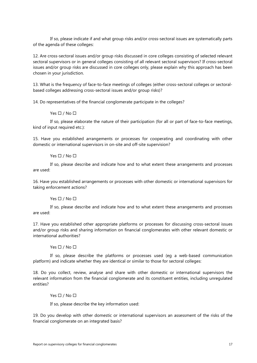If so, please indicate if and what group risks and/or cross-sectoral issues are systematically parts of the agenda of these colleges:

12. Are cross-sectoral issues and/or group risks discussed in core colleges consisting of selected relevant sectoral supervisors or in general colleges consisting of all relevant sectoral supervisors? If cross-sectoral issues and/or group risks are discussed in core colleges only, please explain why this approach has been chosen in your jurisdiction.

13. What is the frequency of face-to-face meetings of colleges (either cross-sectoral colleges or sectoralbased colleges addressing cross-sectoral issues and/or group risks)?

14. Do representatives of the financial conglomerate participate in the colleges?

#### Yes  $\Box$  / No  $\Box$

If so, please elaborate the nature of their participation (for all or part of face-to-face meetings, kind of input required etc.):

15. Have you established arrangements or processes for cooperating and coordinating with other domestic or international supervisors in on-site and off-site supervision?

#### Yes  $\Box$  / No  $\Box$

If so, please describe and indicate how and to what extent these arrangements and processes are used:

16. Have you established arrangements or processes with other domestic or international supervisors for taking enforcement actions?

#### Yes  $\Box$  / No  $\Box$

If so, please describe and indicate how and to what extent these arrangements and processes are used:

17. Have you established other appropriate platforms or processes for discussing cross-sectoral issues and/or group risks and sharing information on financial conglomerates with other relevant domestic or international authorities?

#### Yes  $\Box$  / No  $\Box$

If so, please describe the platforms or processes used (eg a web-based communication platform) and indicate whether they are identical or similar to those for sectoral colleges:

18. Do you collect, review, analyse and share with other domestic or international supervisors the relevant information from the financial conglomerate and its constituent entities, including unregulated entities?

#### Yes  $\Box$  / No  $\Box$

If so, please describe the key information used:

19. Do you develop with other domestic or international supervisors an assessment of the risks of the financial conglomerate on an integrated basis?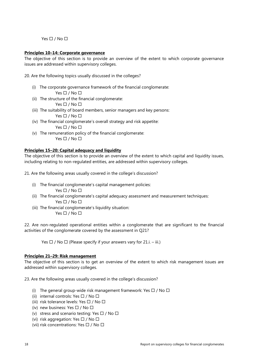Yes  $\Box$  / No  $\Box$ 

#### **Principles 10–14: Corporate governance**

The objective of this section is to provide an overview of the extent to which corporate governance issues are addressed within supervisory colleges.

- 20. Are the following topics usually discussed in the colleges?
	- (i) The corporate governance framework of the financial conglomerate: Yes  $\Box$  / No  $\Box$
	- (ii) The structure of the financial conglomerate:
		- Yes  $\Box$  / No  $\Box$
	- (iii) The suitability of board members, senior managers and key persons: Yes  $\Box$  / No  $\Box$
	- (iv) The financial conglomerate's overall strategy and risk appetite:

Yes  $\Box$  / No  $\Box$ 

(v) The remuneration policy of the financial conglomerate: Yes  $\Box$  / No  $\Box$ 

#### **Principles 15–20: Capital adequacy and liquidity**

The objective of this section is to provide an overview of the extent to which capital and liquidity issues, including relating to non-regulated entities, are addressed within supervisory colleges.

21. Are the following areas usually covered in the college's discussion?

- (i) The financial conglomerate's capital management policies: Yes  $\Box$  / No  $\Box$
- (ii) The financial conglomerate's capital adequacy assessment and measurement techniques: Yes  $\Box$  / No  $\Box$
- (iii) The financial conglomerate's liquidity situation: Yes  $\Box$  / No  $\Box$

22. Are non-regulated operational entities within a conglomerate that are significant to the financial activities of the conglomerate covered by the assessment in Q21?

Yes  $\Box$  / No  $\Box$  (Please specify if your answers vary for 21.i. – iii.)

#### **Principles 21–29: Risk management**

The objective of this section is to get an overview of the extent to which risk management issues are addressed within supervisory colleges.

23. Are the following areas usually covered in the college's discussion?

- (i) The general group-wide risk management framework: Yes  $\Box$  / No  $\Box$
- (ii) internal controls: Yes  $\Box$  / No  $\Box$
- (iii) risk tolerance levels: Yes  $\Box$  / No  $\Box$
- (iv) new business: Yes  $\Box$  / No  $\Box$
- (v) stress and scenario testing: Yes  $\Box$  / No  $\Box$
- (vi) risk aggregation: Yes  $\Box$  / No  $\Box$
- (vii) risk concentrations: Yes  $\Box$  / No  $\Box$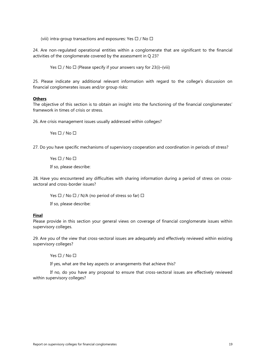(viii) intra-group transactions and exposures: Yes  $\Box$  / No  $\Box$ 

24. Are non-regulated operational entities within a conglomerate that are significant to the financial activities of the conglomerate covered by the assessment in Q 23?

Yes  $\Box$  / No  $\Box$  (Please specify if your answers vary for 23(i)–(viii)

25. Please indicate any additional relevant information with regard to the college's discussion on financial conglomerates issues and/or group risks:

#### **Others**

The objective of this section is to obtain an insight into the functioning of the financial conglomerates' framework in times of crisis or stress.

26. Are crisis management issues usually addressed within colleges?

Yes  $\Box$  / No  $\Box$ 

27. Do you have specific mechanisms of supervisory cooperation and coordination in periods of stress?

Yes  $\Box$  / No  $\Box$ 

If so, please describe:

28. Have you encountered any difficulties with sharing information during a period of stress on crosssectoral and cross-border issues?

Yes  $\Box$  / No  $\Box$  / N/A (no period of stress so far)  $\Box$ 

If so, please describe:

#### **Final**

Please provide in this section your general views on coverage of financial conglomerate issues within supervisory colleges.

29. Are you of the view that cross-sectoral issues are adequately and effectively reviewed within existing supervisory colleges?

Yes  $\Box$  / No  $\Box$ 

If yes, what are the key aspects or arrangements that achieve this?

If no, do you have any proposal to ensure that cross-sectoral issues are effectively reviewed within supervisory colleges?